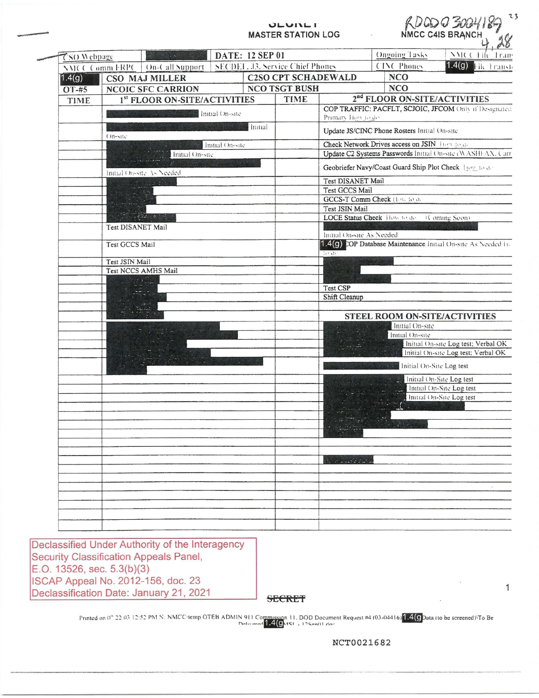#### **ULVILLI MASTER STATION LOG**

|  |                    |                   |                              |                                                                             |                 | <b>JLVIILI</b><br><b>MASTER STATION LOG</b>                   |                                                            |                                              | 23<br>ADODG 3004189                 |  |
|--|--------------------|-------------------|------------------------------|-----------------------------------------------------------------------------|-----------------|---------------------------------------------------------------|------------------------------------------------------------|----------------------------------------------|-------------------------------------|--|
|  | <b>CSO Webpage</b> |                   |                              |                                                                             | DATE: 12 SEP 01 |                                                               |                                                            | <b>Ongoing Tasks</b>                         | NMCC File Trans                     |  |
|  | NMCC Comm ERPC     |                   | On-Call Support              |                                                                             |                 | SECDEL J3, Service Chief Phones                               |                                                            | <b>CINC Phones</b>                           | 1.4(g)<br>File Transf               |  |
|  | 1.4(g)             |                   | CSO MAJ MILLER               |                                                                             |                 | <b>C2SO CPT SCHADEWALD</b>                                    |                                                            | <b>NCO</b>                                   |                                     |  |
|  | OT-#5              |                   | <b>NCOIC SFC CARRION</b>     | <b>NCO TSGT BUSH</b>                                                        |                 |                                                               | <b>NCO</b>                                                 |                                              |                                     |  |
|  | <b>TIME</b>        |                   | 1st FLOOR ON-SITE/ACTIVITIES | TIME                                                                        |                 |                                                               | 2 <sup>nd</sup> FLOOR ON-SITE/ACTIVITIES                   |                                              |                                     |  |
|  |                    |                   | Initial On-site              | COP TRAFFIC: PACFLT, SCJOIC, JFCOM Only if Designated<br>Primary How to do. |                 |                                                               |                                                            |                                              |                                     |  |
|  | On-site            |                   |                              |                                                                             | Initial         |                                                               |                                                            | Update JS/CINC Phone Rosters Initial On-site |                                     |  |
|  |                    | Initial On-site   |                              |                                                                             |                 |                                                               | Check Network Drives access on JSIN How to de              |                                              |                                     |  |
|  |                    | Initial On-site   |                              |                                                                             |                 |                                                               | Update C2 Systems Passwords Initial On-site (WASHFAX, Carr |                                              |                                     |  |
|  |                    |                   | Initial Onesite As Needed    |                                                                             |                 |                                                               | Geobriefer Navy/Coast Guard Ship Plot Check How to de-     |                                              |                                     |  |
|  |                    | Except Co         |                              |                                                                             |                 |                                                               | Test DISANET Mail                                          |                                              |                                     |  |
|  |                    |                   |                              |                                                                             |                 | Test GCCS Mail                                                |                                                            |                                              |                                     |  |
|  |                    |                   |                              |                                                                             |                 | GCCS-T Comm Check II at the de<br>Test JSIN Mail              |                                                            |                                              |                                     |  |
|  |                    |                   |                              |                                                                             |                 | LOCE Status Check How to de (Coming Soon)                     |                                                            |                                              |                                     |  |
|  |                    | Test DISANET Mail |                              |                                                                             |                 | Initial On-site As Needed                                     |                                                            |                                              |                                     |  |
|  |                    | Test GCCS Mail    |                              |                                                                             |                 | 1.4(g) DOP Database Maintenance Initial On-site As Needed Lt. |                                                            |                                              |                                     |  |
|  |                    | Test JSIN Mail    |                              |                                                                             |                 | $\ln \Omega$                                                  |                                                            |                                              |                                     |  |
|  |                    |                   | Test NCCS AMHS Mail          |                                                                             |                 |                                                               |                                                            |                                              |                                     |  |
|  |                    |                   |                              |                                                                             |                 |                                                               |                                                            |                                              |                                     |  |
|  |                    |                   |                              |                                                                             |                 |                                                               | Test CSP                                                   |                                              |                                     |  |
|  |                    |                   |                              |                                                                             |                 | Shift Cleanup                                                 |                                                            |                                              |                                     |  |
|  |                    |                   |                              |                                                                             |                 |                                                               |                                                            | STEEL ROOM ON-SITE/ACTIVITIES                |                                     |  |
|  |                    |                   |                              |                                                                             |                 |                                                               | Initial On-site<br>Initial On-site                         |                                              |                                     |  |
|  |                    |                   |                              |                                                                             |                 |                                                               |                                                            |                                              | Initial On-site Log test; Verbal OK |  |
|  |                    |                   |                              |                                                                             |                 |                                                               |                                                            |                                              | Initial On-site Log test; Verbal OK |  |
|  |                    |                   |                              |                                                                             |                 |                                                               |                                                            | Initial On-Site Log test                     |                                     |  |
|  |                    |                   |                              |                                                                             |                 |                                                               |                                                            |                                              | Initial On-Site Log test            |  |
|  |                    |                   |                              |                                                                             |                 |                                                               |                                                            |                                              | Initial On-Site Log test            |  |
|  |                    |                   |                              |                                                                             |                 |                                                               |                                                            |                                              | Initial On-Site Log test            |  |
|  |                    |                   |                              |                                                                             |                 |                                                               |                                                            | $-111$<br>$-1440$                            |                                     |  |
|  |                    |                   |                              |                                                                             |                 |                                                               |                                                            |                                              |                                     |  |
|  |                    |                   |                              |                                                                             |                 |                                                               |                                                            |                                              |                                     |  |
|  |                    |                   |                              |                                                                             |                 |                                                               |                                                            |                                              |                                     |  |
|  |                    |                   |                              |                                                                             |                 |                                                               |                                                            |                                              |                                     |  |
|  |                    |                   |                              |                                                                             |                 |                                                               |                                                            |                                              |                                     |  |
|  |                    |                   |                              |                                                                             |                 |                                                               |                                                            |                                              |                                     |  |
|  |                    |                   |                              |                                                                             |                 |                                                               |                                                            |                                              | (4)                                 |  |
|  |                    |                   |                              |                                                                             |                 |                                                               |                                                            |                                              |                                     |  |
|  |                    |                   |                              |                                                                             |                 |                                                               |                                                            |                                              |                                     |  |
|  |                    |                   |                              |                                                                             |                 |                                                               |                                                            |                                              |                                     |  |
|  |                    |                   |                              |                                                                             |                 |                                                               |                                                            |                                              |                                     |  |

Declassified Under Authority of the Interagency **Security Classification Appeals Panel,** E.O. 13526, sec. 5.3(b)(3) ISCAP Appeal No. 2012-156, doc. 23 Declassification Date: January 21, 2021

**SECRET** 

Printed on 07 22 03 12:52 PM N: NMCC temp OTEB ADMIN 911 Commission 11, DOD Document Request #4 (03-04416) 1.4(9 Data (to be screened) To Be

**NCT0021682** 

 $\mathbf{1}$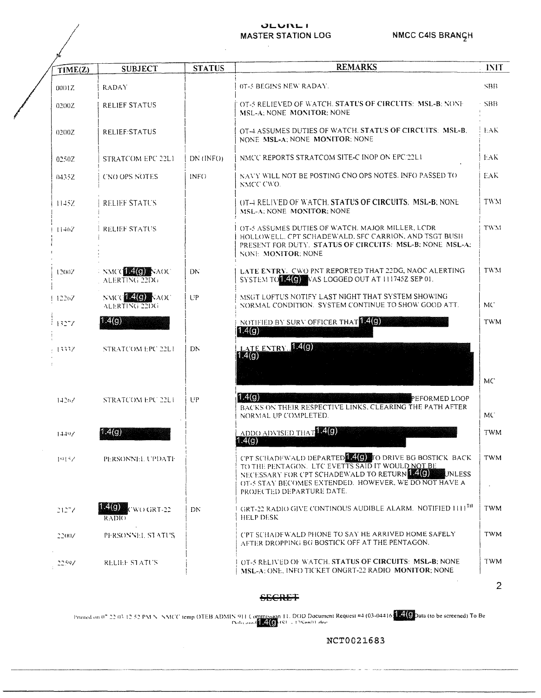# NMCC C4IS BRANGH

### **JLVILLI MASTER STATION LOG**

| TIME(Z)  | <b>SUBJECT</b>                           | <b>STATUS</b>   | <b>REMARKS</b>                                                                                                                                                                                                                                                   | <b>INIT</b> |
|----------|------------------------------------------|-----------------|------------------------------------------------------------------------------------------------------------------------------------------------------------------------------------------------------------------------------------------------------------------|-------------|
| 0001Z    | <b>RADAY</b>                             |                 | 0T-5 BEGINS NEW RADAY.                                                                                                                                                                                                                                           | SBB.        |
| 02002    | <b>RELIEF STATUS</b>                     |                 | OT-5 RELIEVED OF WATCH. STATUS OF CIRCUITS: MSL-B: NONE<br>MSL-A: NONE MONITOR: NONE                                                                                                                                                                             | - SBB       |
| 0200Z    | <b>RELIEF STATUS</b>                     |                 | OT-4 ASSUMES DUTIES OF WATCH. STATUS OF CIRCUITS: MSL-B.<br>NONE MSL-A; NONE MONITOR; NONE                                                                                                                                                                       | T.AK        |
| 0250Z    | STRATCOM EPC 22L1                        | $DN$ ( $INFO$ ) | NMCC REPORTS STRATCOM SITE-C INOP ON EPC 22L1                                                                                                                                                                                                                    | EAK.        |
| 04352    | CNO OPS NOTES                            | INF()           | NAVY WILL NOT BE POSTING CNO OPS NOTES. INFO PASSED TO<br>NMCC CWO.                                                                                                                                                                                              | EAK         |
| 1145Z    | RELIEF STATUS                            |                 | OT-4 RELIVED OF WATCH, STATUS OF CIRCUITS: MSL-B; NONE<br>MSL-A. NONE MONITOR: NONE                                                                                                                                                                              | <b>TWM</b>  |
| 11467    | <b>RELIEF STATUS</b>                     |                 | OT-5 ASSUMES DUTIES OF WATCH. MAJOR MILLER, LCDR<br>HOLLOWELL, CPT SCHADEWALD, SFC CARRION, AND TSGT BUSH<br>PRESENT FOR DUTY. STATUS OF CIRCUITS: MSL-B; NONE MSL-A;<br>NONE MONITOR: NONE                                                                      | TWM         |
| 12007    | <b>NMCCLESCOM AOC</b><br>ALERTING 22DG   | DN.             | LATE ENTRY. CWO PNT REPORTED THAT 22DG, NAOC ALERTING<br>SYSTEM TO <b>AGO</b> WAS LOGGED OUT AT 111745Z SEP 01.                                                                                                                                                  | TWM         |
| 12267    | <b>NATIONAL ADDRESS</b><br>ALERTING 22DG | UP.             | MSGT LOFTUS NOTIFY LAST NIGHT THAT SYSTEM SHOWING<br>NORMAL CONDITION. SYSTEM CONTINUE TO SHOW GOOD ATT.                                                                                                                                                         | MC.         |
| i 1327Z  | 1.4(g)                                   |                 | NOTIFIED BY SURV OFFICER THAT 140<br>1.4(g)                                                                                                                                                                                                                      | TWM         |
| 13337    | STRATCOM EPC 22L1                        | DN              | LATE ENTRY 140<br>1.4(g)                                                                                                                                                                                                                                         |             |
|          |                                          |                 |                                                                                                                                                                                                                                                                  | MC          |
| $1426$ / | STRATCOM EPC 22L1                        | UP              | 1.4(g)<br>PEFORMED LOOP<br>BACKS ON THEIR RESPECTIVE LINKS, CLEARING THE PATH AFTER<br>NORMAL UP COMPLETED.                                                                                                                                                      | MC.         |
| 1449/    | 1.4(g)                                   |                 | ADDO ADVISED THAT <b>ADDO</b><br>1.4(g)                                                                                                                                                                                                                          | <b>TWM</b>  |
| 1913/    | PERSONNEL UPDATE                         |                 | CPT SCHADEWALD DEPARTED <b>AGO</b> TO DRIVE BG BOSTICK BACK<br>TO THE PENTAGON. LTC EVETTS SAID IT WOULD NOT BE<br>NECESSARY FOR CPT SCHADEWALD TO RETURN LATER.<br>UNLESS<br>OT-5 STAY BECOMES EXTENDED. HOWEVER, WE DO NOT HAVE A<br>PROJECTED DEPARTURE DATE. | TWM         |
| 21277    | 4 (CI)<br>WO GRT-22<br>RADIO.            | DN.             | GRT-22 RADIO GIVE CONTINOUS AUDIBLE ALARM. NOTIFIED ITTI <sup>TH</sup><br>HELP DESK                                                                                                                                                                              | <b>TWM</b>  |
| 22007    | PERSONNEL STATUS                         |                 | CPT SCHADEWALD PHONE TO SAY HE ARRIVED HOME SAFELY<br>AFTER DROPPING BG BOSTICK OFF AT THE PENTAGON.                                                                                                                                                             | <b>TWM</b>  |
| 22597    | RELIEF STATUS                            |                 | OT-5 RELIVED OF WATCH. STATUS OF CIRCUITS: MSL-B; NONE<br>MSL-A: ONE, INFO TICKET ONGRT-22 RADIO MONITOR; NONE                                                                                                                                                   | TWM         |

 $\overline{2}$ 

### **SECRET**

Printed on 07.22.03.12.52 PM N. NMCC temp OTEB ADMIN 911 Commission 11. DOD Document Request #4 (03-04416  $\frac{24(9)}{24(9)}$  ata (to be screened) To Be

## NCT0021683